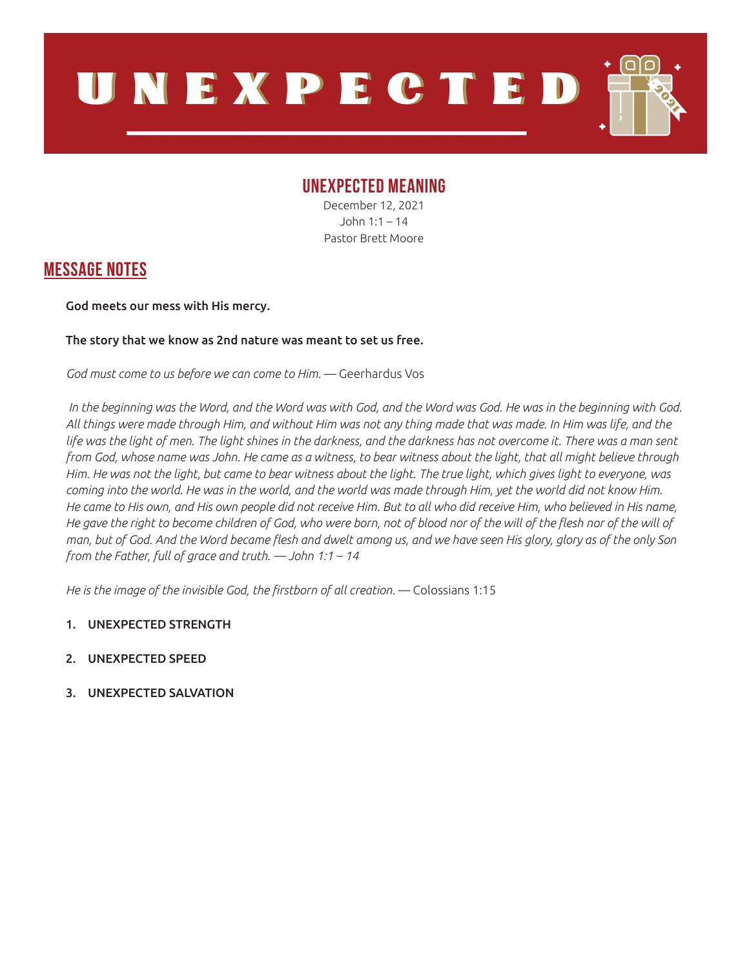

## **UNEXPECTED MEANING**

December 12, 2021 John 1:1 – 14 Pastor Brett Moore

## **MESSAGE NOTES**

God meets our mess with His mercy.

## The story that we know as 2nd nature was meant to set us free.

God must come to us before we can come to Him. — Geerhardus Vos

In the beginning was the Word, and the Word was with God, and the Word was God. He was in the beginning with God. *All things were made through Him, and without Him was not any thing made that was made. In Him was life, and the life was the light of men. The light shines in the darkness, and the darkness has not overcome it. There was a man sent from God, whose name was John. He came as a witness, to bear witness about the light, that all might believe through Him. He was not the light, but came to bear witness about the light. The true light, which gives light to everyone, was coming into the world. He was in the world, and the world was made through Him, yet the world did not know Him. He came to His own, and His own people did not receive Him. But to all who did receive Him, who believed in His name, He gave the right to become children of God, who were born, not of blood nor of the will of the flesh nor of the will of man, but of God. And the Word became flesh and dwelt among us, and we have seen His glory, glory as of the only Son from the Father, full of grace and truth. — John 1:1 – 14*

*He is the image of the invisible God, the firstborn of all creation.* — Colossians 1:15

- 1. UNEXPECTED STRENGTH
- 2. UNEXPECTED SPEED
- 3. UNEXPECTED SALVATION